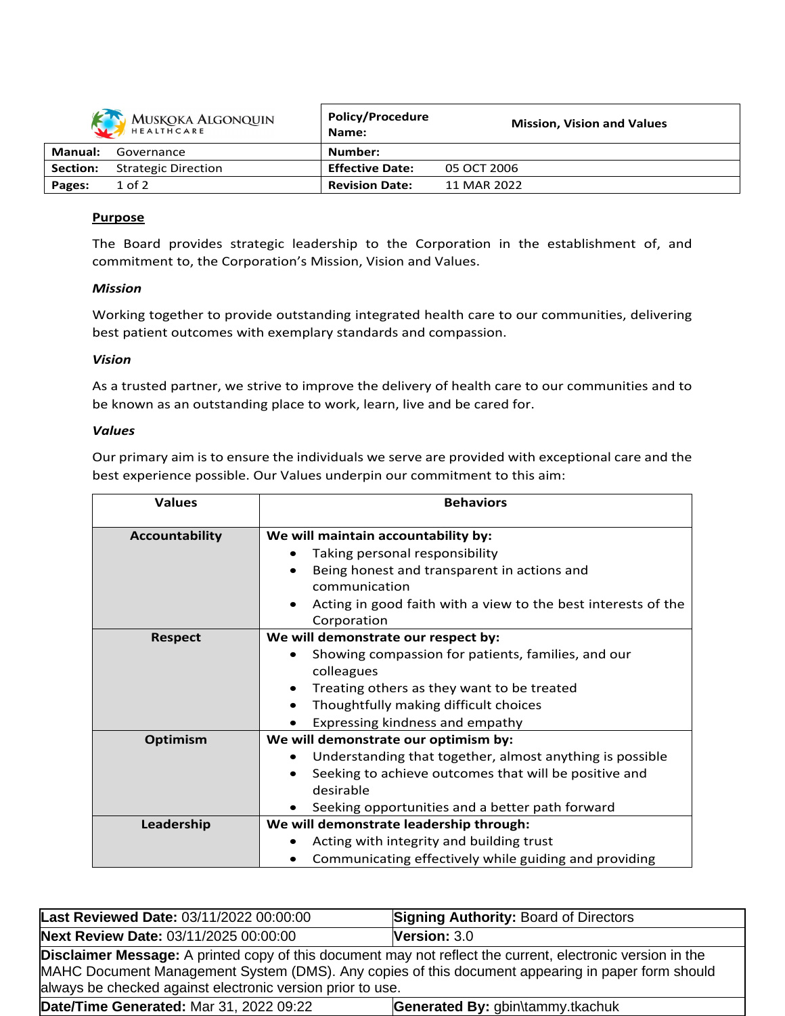| MUSKOKA ALGONQUIN |                            | <b>Policy/Procedure</b><br>Name: | <b>Mission, Vision and Values</b> |
|-------------------|----------------------------|----------------------------------|-----------------------------------|
| Manual:           | Governance                 | Number:                          |                                   |
| Section:          | <b>Strategic Direction</b> | <b>Effective Date:</b>           | 05 OCT 2006                       |
| Pages:            | $1$ of $2$                 | <b>Revision Date:</b>            | 11 MAR 2022                       |

## **Purpose**

The Board provides strategic leadership to the Corporation in the establishment of, and commitment to, the Corporation's Mission, Vision and Values.

## *Mission*

Working together to provide outstanding integrated health care to our communities, delivering best patient outcomes with exemplary standards and compassion.

## *Vision*

As a trusted partner, we strive to improve the delivery of health care to our communities and to be known as an outstanding place to work, learn, live and be cared for.

## *Values*

Our primary aim is to ensure the individuals we serve are provided with exceptional care and the best experience possible. Our Values underpin our commitment to this aim:

| <b>Values</b>         | <b>Behaviors</b>                                              |  |
|-----------------------|---------------------------------------------------------------|--|
| <b>Accountability</b> | We will maintain accountability by:                           |  |
|                       | Taking personal responsibility                                |  |
|                       | Being honest and transparent in actions and                   |  |
|                       | communication                                                 |  |
|                       | Acting in good faith with a view to the best interests of the |  |
|                       | Corporation                                                   |  |
| <b>Respect</b>        | We will demonstrate our respect by:                           |  |
|                       | Showing compassion for patients, families, and our            |  |
|                       | colleagues                                                    |  |
|                       | Treating others as they want to be treated                    |  |
|                       | Thoughtfully making difficult choices<br>$\bullet$            |  |
|                       | Expressing kindness and empathy                               |  |
| <b>Optimism</b>       | We will demonstrate our optimism by:                          |  |
|                       | Understanding that together, almost anything is possible      |  |
|                       | Seeking to achieve outcomes that will be positive and         |  |
|                       | desirable                                                     |  |
|                       | Seeking opportunities and a better path forward               |  |
| Leadership            | We will demonstrate leadership through:                       |  |
|                       | Acting with integrity and building trust                      |  |
|                       | Communicating effectively while guiding and providing         |  |

| Last Reviewed Date: 03/11/2022 00:00:00                                                                                                                                                                                                                                       | <b>Signing Authority: Board of Directors</b> |  |  |
|-------------------------------------------------------------------------------------------------------------------------------------------------------------------------------------------------------------------------------------------------------------------------------|----------------------------------------------|--|--|
| Next Review Date: 03/11/2025 00:00:00                                                                                                                                                                                                                                         | Version: $3.0$                               |  |  |
| Disclaimer Message: A printed copy of this document may not reflect the current, electronic version in the<br>MAHC Document Management System (DMS). Any copies of this document appearing in paper form should<br>always be checked against electronic version prior to use. |                                              |  |  |
| Date/Time Generated: Mar 31, 2022 09:22                                                                                                                                                                                                                                       | Generated By: gbin\tammy.tkachuk             |  |  |